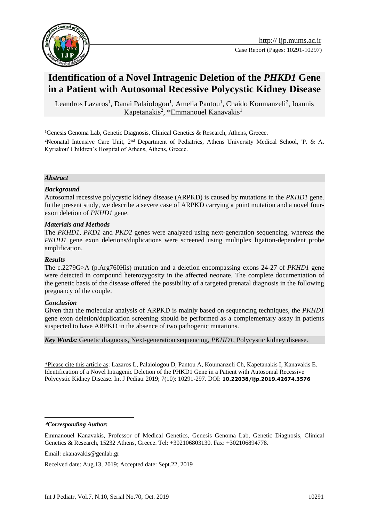

# **Identification of a Novel Intragenic Deletion of the** *PHKD1* **Gene in a Patient with Autosomal Recessive Polycystic Kidney Disease**

Leandros Lazaros<sup>1</sup>, Danai Palaiologou<sup>1</sup>, Amelia Pantou<sup>1</sup>, Chaido Koumanzeli<sup>2</sup>, Ioannis Kapetanakis<sup>2</sup>, \*Emmanouel Kanavakis<sup>1</sup>

<sup>1</sup>Genesis Genoma Lab, Genetic Diagnosis, Clinical Genetics & Research, Athens, Greece.

<sup>2</sup>Neonatal Intensive Care Unit, 2nd Department of Pediatrics, Athens University Medical School, 'P. & A. Kyriakou' Children's Hospital of Athens, Athens, Greece.

#### *Abstract*

#### *Background*

Autosomal recessive polycystic kidney disease (ARPKD) is caused by mutations in the *PKHD1* gene. In the present study, we describe a severe case of ARPKD carrying a point mutation and a novel fourexon deletion of *PKHD1* gene.

#### *Materials and Methods*

The *PKHD1*, *PKD1* and *PKD2* genes were analyzed using next-generation sequencing, whereas the *PKHD1* gene exon deletions/duplications were screened using multiplex ligation-dependent probe amplification.

#### *Results*

The c.2279G>A (p.Arg760His) mutation and a deletion encompassing exons 24-27 of *PKHD1* gene were detected in compound heterozygosity in the affected neonate. The complete documentation of the genetic basis of the disease offered the possibility of a targeted prenatal diagnosis in the following pregnancy of the couple.

#### *Conclusion*

Given that the molecular analysis of ARPKD is mainly based on sequencing techniques, the *PKHD1* gene exon deletion/duplication screening should be performed as a complementary assay in patients suspected to have ARPKD in the absence of two pathogenic mutations.

*Key Words:* Genetic diagnosis, Next-generation sequencing, *PKHD1*, Polycystic kidney disease.

\*Please cite this article as: Lazaros L, Palaiologou D, Pantou A, Koumanzeli Ch, Κapetanakis I, Κanavakis E. Identification of a Novel Intragenic Deletion of the PHKD1 Gene in a Patient with Autosomal Recessive Polycystic Kidney Disease. Int J Pediatr 2019; 7(10): 10291-297. DOI: **10.22038/ijp.2019.42674.3576**

1

Received date: Aug.13, 2019; Accepted date: Sept.22, 2019

**<sup>\*</sup>***Corresponding Author:*

Emmanouel Kanavakis, Professor of Medical Genetics, Genesis Genoma Lab, Genetic Diagnosis, Clinical Genetics & Research, 15232 Αthens, Greece. Tel: +302106803130. Fax: +302106894778.

Email: ekanavakis@genlab.gr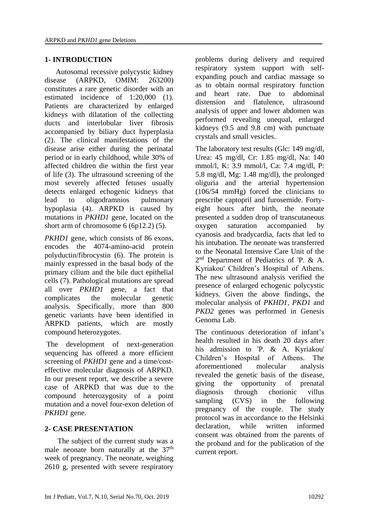# **1- INTRODUCTION**

 Autosomal recessive polycystic kidney disease (ARPKD, OMIM: 263200) constitutes a rare genetic disorder with an estimated incidence of 1:20,000 (1). Patients are characterized by enlarged kidneys with dilatation of the collecting ducts and interlobular liver fibrosis accompanied by biliary duct hyperplasia (2). The clinical manifestations of the disease arise either during the perinatal period or in early childhood, while 30% of affected children die within the first year of life (3). The ultrasound screening of the most severely affected fetuses usually detects enlarged echogenic kidneys that lead to oligodramnios pulmonary hypoplasia (4). ARPKD is caused by mutations in *PKHD1* gene, located on the short arm of chromosome 6 (6p12.2) (5).

*PKHD1* gene, which consists of 86 exons, encodes the 4074-amino-acid protein polyductin/fibrocystin (6). The protein is mainly expressed in the basal body of the primary cilium and the bile duct epithelial cells (7). Pathological mutations are spread all over *PKHD1* gene, a fact that complicates the molecular genetic analysis. Specifically, more than 800 genetic variants have been identified in ARPKD patients, which are mostly compound heterozygotes.

The development of next-generation sequencing has offered a more efficient screening of *PKHD1* gene and a time/costeffective molecular diagnosis of ARPKD. In our present report, we describe a severe case of ARPKD that was due to the compound heterozygosity of a point mutation and a novel four-exon deletion of *PKHD1* gene.

# **2- CASE PRESENTATION**

 The subject of the current study was a male neonate born naturally at the 37<sup>th</sup> week of pregnancy. Τhe neonate, weighing 2610 g, presented with severe respiratory problems during delivery and required respiratory system support with selfexpanding pouch and cardiac massage so as to obtain normal respiratory function and heart rate. Due to abdominal distension and flatulence, ultrasound analysis of upper and lower abdomen was performed revealing unequal, enlarged kidneys (9.5 and 9.8 cm) with punctuate crystals and small vesicles.

The laboratory test results (Glc: 149 mg/dl, Urea: 45 mg/dl, Cr: 1.85 mg/dl, Na: 140 mmol/l, K: 3.9 mmol/l, Ca: 7.4 mg/dl, P: 5.8 mg/dl, Mg: 1.48 mg/dl), the prolonged oliguria and the arterial hypertension (106/54 mmHg) forced the clinicians to prescribe captopril and furosemide. Fortyeight hours after birth, the neonate presented a sudden drop of transcutaneous oxygen saturation accompanied by cyanosis and bradycardia, facts that led to his intubation. The neonate was transferred to the Neonatal Intensive Care Unit of the 2<sup>nd</sup> Department of Pediatrics of 'P. & A. Kyriakou' Children's Hospital of Athens. The new ultrasound analysis verified the presence of enlarged echogenic polycystic kidneys. Given the above findings, the molecular analysis of *PKHD1*, *PKD1* and *PKD2* genes was performed in Genesis Genoma Lab.

The continuous deterioration of infant's health resulted in his death 20 days after his admission to 'P. & A. Kyriakou' Children's Hospital of Athens. The aforementioned molecular analysis revealed the genetic basis of the disease, giving the opportunity of prenatal diagnosis through chorionic villus sampling (CVS) in the following pregnancy of the couple. The study protocol was in accordance to the Helsinki declaration, while written informed consent was obtained from the parents of the proband and for the publication of the current report.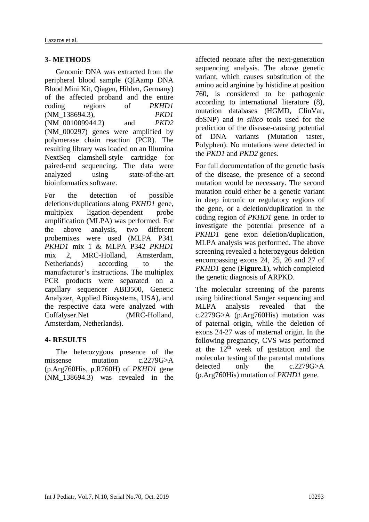### **3- METHODS**

 Genomic DNA was extracted from the peripheral blood sample (QIAamp DNA Blood Mini Kit, Qiagen, Hilden, Germany) of the affected proband and the entire coding regions of *PKHD1* (NM\_138694.3), *PKD1*  (NM\_001009944.2) and *PKD2* (NM\_000297) genes were amplified by polymerase chain reaction (PCR). The resulting library was loaded on an Illumina NextSeq clamshell-style cartridge for paired-end sequencing. The data were analyzed using state-of-the-art bioinformatics software.

For the detection of possible deletions/duplications along *PKHD1* gene, multiplex ligation-dependent probe amplification (MLPA) was performed. For the above analysis, two different probemixes were used (MLPA P341 *PKHD1* mix 1 & MLPA P342 *PKHD1*  mix 2, MRC-Holland, Amsterdam, Netherlands) according to the manufacturer's instructions. The multiplex PCR products were separated on a capillary sequencer ABI3500, Genetic Analyzer, Applied Biosystems, USA), and the respective data were analyzed with Coffalyser.Net (MRC-Holland, Amsterdam, Netherlands).

### **4- RESULTS**

 The heterozygous presence of the missense mutation c.2279G>A (p.Arg760His, p.R760H) of *PKHD1* gene (NM\_138694.3) was revealed in the

affected neonate after the next-generation sequencing analysis. The above genetic variant, which causes substitution of the amino acid arginine by histidine at position 760, is considered to be pathogenic according to international literature (8), mutation databases (HGMD, ClinVar, dbSNP) and *in silico* tools used for the prediction of the disease-causing potential of DNA variants (Mutation taster, Polyphen). No mutations were detected in the *PKD1* and *PKD2* genes.

For full documentation of the genetic basis of the disease, the presence of a second mutation would be necessary. The second mutation could either be a genetic variant in deep intronic or regulatory regions of the gene, or a deletion/duplication in the coding region of *PKHD1* gene. In order to investigate the potential presence of a *PKHD1* gene exon deletion/duplication, MLPA analysis was performed. The above screening revealed a heterozygous deletion encompassing exons 24, 25, 26 and 27 of *PKHD1* gene (**Figure.1**), which completed the genetic diagnosis of ARPKD.

The molecular screening of the parents using bidirectional Sanger sequencing and MLPA analysis revealed that the c.2279G>A (p.Arg760His) mutation was of paternal origin, while the deletion of exons 24-27 was of maternal origin. In the following pregnancy, CVS was performed at the  $12<sup>th</sup>$  week of gestation and the molecular testing of the parental mutations detected only the c.2279G>A (p.Arg760His) mutation of *PKHD1* gene.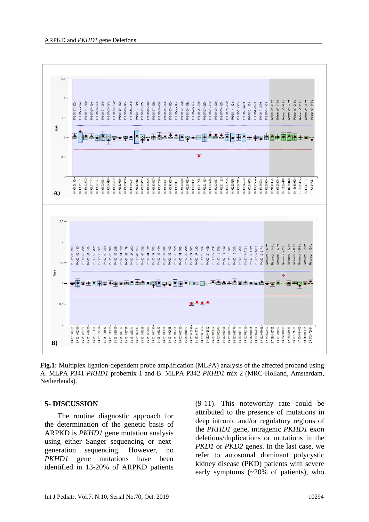

**Fig.1:** Multiplex ligation-dependent probe amplification (MLPA) analysis of the affected proband using A. MLPA P341 *PKHD1* probemix 1 and B. MLPA P342 *PKHD1* mix 2 (MRC-Holland, Amsterdam, Netherlands).

### **5- DISCUSSION**

 The routine diagnostic approach for the determination of the genetic basis of ARPKD is *PKHD1* gene mutation analysis using either Sanger sequencing or nextgeneration sequencing. However, no *PKHD1* gene mutations have been identified in 13-20% of ARPKD patients

(9-11). This noteworthy rate could be attributed to the presence of mutations in deep intronic and/or regulatory regions of the *PKHD1* gene, intragenic *PKHD1* exon deletions/duplications or mutations in the *PKD1* or *PKD2* genes. In the last case, we refer to autosomal dominant polycystic kidney disease (PKD) patients with severe early symptoms (~20% of patients), who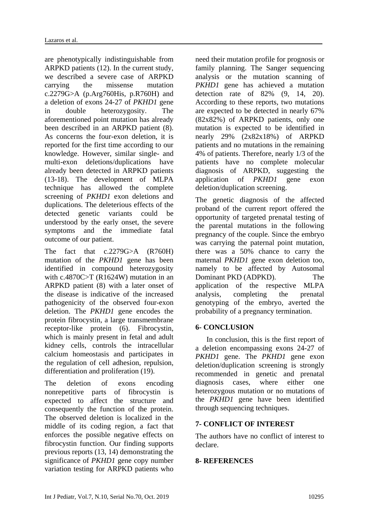are phenotypically indistinguishable from ARPKD patients (12). In the current study, we described a severe case of ARPKD carrying the missense mutation c.2279G>A (p.Arg760His, p.R760H) and a deletion of exons 24-27 of *PKHD1* gene in double heterozygosity. The aforementioned point mutation has already been described in an ARPKD patient (8). As concerns the four-exon deletion, it is reported for the first time according to our knowledge. However, similar single- and multi-exon deletions/duplications have already been detected in ARPKD patients (13-18). The development of MLPA technique has allowed the complete screening of *PKHD1* exon deletions and duplications. The deleterious effects of the detected genetic variants could be understood by the early onset, the severe symptoms and the immediate fatal outcome of our patient.

The fact that c.2279G>A (R760H) mutation of the *PKHD1* gene has been identified in compound heterozygosity with c.4870C>T (R1624W) mutation in an ARPKD patient (8) with a later onset of the disease is indicative of the increased pathogenicity of the observed four-exon deletion. The *PKHD1* gene encodes the protein fibrocystin, a large transmembrane receptor-like protein (6). Fibrocystin, which is mainly present in fetal and adult kidney cells, controls the intracellular calcium homeostasis and participates in the regulation of cell adhesion, repulsion, differentiation and proliferation (19).

The deletion of exons encoding nonrepetitive parts of fibrocystin is expected to affect the structure and consequently the function of the protein. The observed deletion is localized in the middle of its coding region, a fact that enforces the possible negative effects on fibrocystin function. Our finding supports previous reports (13, 14) demonstrating the significance of *PKHD1* gene copy number variation testing for ARPKD patients who

need their mutation profile for prognosis or family planning. The Sanger sequencing analysis or the mutation scanning of *PKHD1* gene has achieved a mutation detection rate of 82% (9, 14, 20). According to these reports, two mutations are expected to be detected in nearly 67% (82x82%) of ARPKD patients, only one mutation is expected to be identified in nearly 29% (2x82x18%) of ARPKD patients and no mutations in the remaining 4% of patients. Therefore, nearly 1/3 of the patients have no complete molecular diagnosis of ARPKD, suggesting the application of *PKHD1* gene exon deletion/duplication screening.

The genetic diagnosis of the affected proband of the current report offered the opportunity of targeted prenatal testing of the parental mutations in the following pregnancy of the couple. Since the embryo was carrying the paternal point mutation, there was a 50% chance to carry the maternal *PKHD1* gene exon deletion too, namely to be affected by Autosomal Dominant PKD (ADPKD). The application of the respective MLPA analysis, completing the prenatal genotyping of the embryo, averted the probability of a pregnancy termination.

## **6- CONCLUSION**

 In conclusion, this is the first report of a deletion encompassing exons 24-27 of *PKHD1* gene. The *PKHD1* gene exon deletion/duplication screening is strongly recommended in genetic and prenatal diagnosis cases, where either one heterozygous mutation or no mutations of the *PKHD1* gene have been identified through sequencing techniques.

## **7- CONFLICT OF INTEREST**

The authors have no conflict of interest to declare.

### **8- REFERENCES**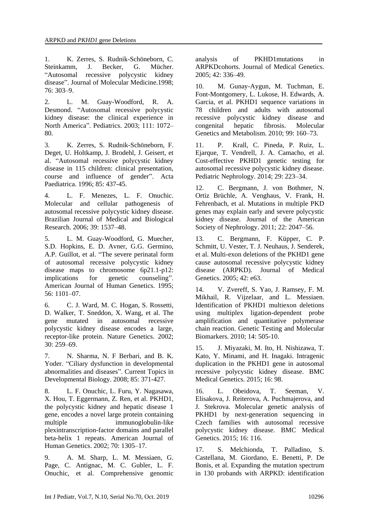1. K. Zerres, S. Rudnik-Schöneborn, C. Steinkamm, J. Becker, G. Mücher. "Autosomal recessive polycystic kidney disease". Journal of Molecular Medicine.1998; 76: 303–9.

2. L. M. Guay-Woodford, R. A. Desmond. "Autosomal recessive polycystic kidney disease: the clinical experience in North America". Pediatrics. 2003; 111: 1072– 80.

3. K. Zerres, S. Rudnik-Schöneborn, F. Deget, U. Holtkamp, J. Brodehl, J. Geisert, et al. "Autosomal recessive polycystic kidney disease in 115 children: clinical presentation, course and influence of gender". Acta Paediatrica. 1996; 85: 437-45.

4. L. F. Menezes, L. F. Onuchic. Molecular and cellular pathogenesis of autosomal recessive polycystic kidney disease. Brazilian Journal of Medical and Biological Research. 2006; 39: 1537–48.

5. L. M. Guay-Woodford, G. Muecher, S.D. Hopkins, E. D. Avner, G.G. Germino, A.P. Guillot, et al. "The severe perinatal form of autosomal recessive polycystic kidney disease maps to chromosome 6p21.1-p12: implications for genetic counseling". American Journal of Human Genetics. 1995; 56: 1101–07.

6. C. J. Ward, M. C. Hogan, S. Rossetti, D. Walker, T. Sneddon, X. Wang, et al. The gene mutated in autosomal recessive polycystic kidney disease encodes a large, receptor-like protein. Nature Genetics. 2002; 30: 259–69.

7. N. Sharma, N. F Berbari, and B. K. Yoder. "Ciliary dysfunction in developmental abnormalities and diseases". Current Topics in Developmental Biology. 2008; 85: 371-427.

8. L. F. Onuchic, L. Furu, Y. Nagasawa, X. Hou, T. Eggermann, Z. Ren, et al. PKHD1, the polycystic kidney and hepatic disease 1 gene, encodes a novel large protein containing multiple immunoglobulin-like plexintranscription-factor domains and parallel beta-helix 1 repeats. American Journal of Human Genetics. 2002; 70: 1305–17.

9. A. M. Sharp, L. M. Messiaen, G. Page, C. Antignac, M. C. Gubler, L. F. Onuchic, et al. Comprehensive genomic analysis of PKHD1mutations in ARPKDcohorts. Journal of Medical Genetics. 2005; 42: 336–49.

10. M. Gunay-Aygun, M. Tuchman, E. Font-Montgomery, L. Lukose, H. Edwards, A. Garcia, et al. PKHD1 sequence variations in 78 children and adults with autosomal recessive polycystic kidney disease and congenital hepatic fibrosis. Molecular Genetics and Metabolism. 2010; 99: 160–73.

11. P. Krall, C. Pineda, P. Ruiz, L. Ejarque, T. Vendrell, J. A. Camacho, et al. Cost-effective PKHD1 genetic testing for autosomal recessive polycystic kidney disease. Pediatric Nephrology. 2014; 29: 223–34.

12. C. Bergmann, J. von Bothmer, N. Ortiz Brüchle, A. Venghaus, V. Frank, H. Fehrenbach, et al. Mutations in multiple PKD genes may explain early and severe polycystic kidney disease. Journal of the American Society of Nephrology. 2011; 22: 2047–56.

13. C. Bergmann, F. Küpper, C. P. Schmitt, U. Vester, T. J. Neuhaus, J. Senderek, et al. Multi-exon deletions of the PKHD1 gene cause autosomal recessive polycystic kidney disease (ARPKD). Journal of Medical Genetics. 2005; 42: e63.

14. V. Zvereff, S. Yao, J. Ramsey, F. M. Mikhail, R. Vijzelaar, and L. Messiaen. Identification of PKHD1 multiexon deletions using multiplex ligation-dependent probe amplification and quantitative polymerase chain reaction. Genetic Testing and Molecular Biomarkers. 2010; 14: 505-10.

15. J. Miyazaki, M. Ito, H. Nishizawa, T. Kato, Y. Minami, and H. Inagaki. Intragenic duplication in the PKHD1 gene in autosomal recessive polycystic kidney disease. BMC Medical Genetics. 2015; 16: 98.

16. L. Obeidova, T. Seeman, V. Elisakova, J. Reiterova, A. Puchmajerova, and J. Stekrova. Molecular genetic analysis of PKHD1 by next-generation sequencing in Czech families with autosomal recessive polycystic kidney disease. BMC Medical Genetics. 2015; 16: 116.

17. S. Melchionda, T. Palladino, S. Castellana, M. Giordano, E. Benetti, P. De Bonis, et al. Expanding the mutation spectrum in 130 probands with ARPKD: identification